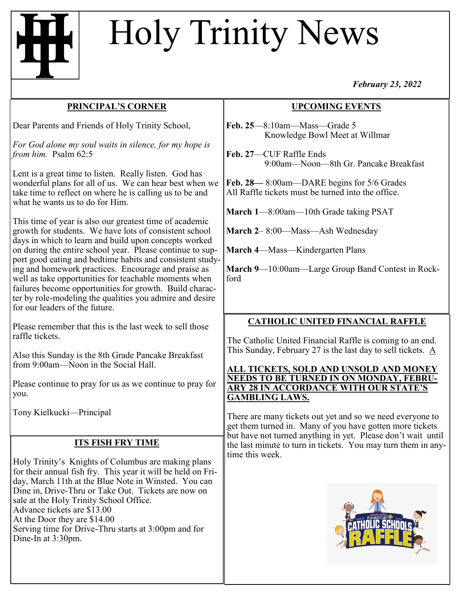# Holy Trinity News

#### *February 23, 2022*

#### **PRINCIPAL'S CORNER**

Dear Parents and Friends of Holy Trinity School,

*For God alone my soul waits in silence, for my hope is from him.* Psalm 62:5

Lent is a great time to listen. Really listen. God has wonderful plans for all of us. We can hear best when we take time to reflect on where he is calling us to be and what he wants us to do for Him.

This time of year is also our greatest time of academic growth for students. We have lots of consistent school days in which to learn and build upon concepts worked on during the entire school year. Please continue to support good eating and bedtime habits and consistent studying and homework practices. Encourage and praise as well as take opportunities for teachable moments when failures become opportunities for growth. Build character by role-modeling the qualities you admire and desire for our leaders of the future.

Please remember that this is the last week to sell those raffle tickets.

Also this Sunday is the 8th Grade Pancake Breakfast from 9:00am—Noon in the Social Hall.

Please continue to pray for us as we continue to pray for you.

Tony Kielkucki—Principal

## **ITS FISH FRY TIME**

Holy Trinity's Knights of Columbus are making plans for their annual fish fry. This year it will be held on Friday, March 11th at the Blue Note in Winsted. You can Dine in, Drive-Thru or Take Out. Tickets are now on sale at the Holy Trinity School Office. Advance tickets are \$13.00 At the Door they are \$14.00 Serving time for Drive-Thru starts at 3:00pm and for Dine-In at 3:30pm.

### **UPCOMING EVENTS**

**Feb. 25**—8:10am—Mass—Grade 5 Knowledge Bowl Meet at Willmar

**Feb. 27**—CUF Raffle Ends 9:00am—Noon—8th Gr. Pancake Breakfast

**Feb. 28—** 8:00am—DARE begins for 5/6 Grades All Raffle tickets must be turned into the office.

**March 1**—8:00am—10th Grade taking PSAT

**March 2**– 8:00—Mass—Ash Wednesday

**March 4**—Mass—Kindergarten Plans

**March 9**—10:00am—Large Group Band Contest in Rockford

## **CATHOLIC UNITED FINANCIAL RAFFLE**

The Catholic United Financial Raffle is coming to an end. This Sunday, February 27 is the last day to sell tickets. A

#### **ALL TICKETS, SOLD AND UNSOLD AND MONEY NEEDS TO BE TURNED IN ON MONDAY, FEBRU-ARY 28 IN ACCORDANCE WITH OUR STATE'S GAMBLING LAWS.**

There are many tickets out yet and so we need everyone to get them turned in. Many of you have gotten more tickets but have not turned anything in yet. Please don't wait until the last minute to turn in tickets. You may turn them in anytime this week.